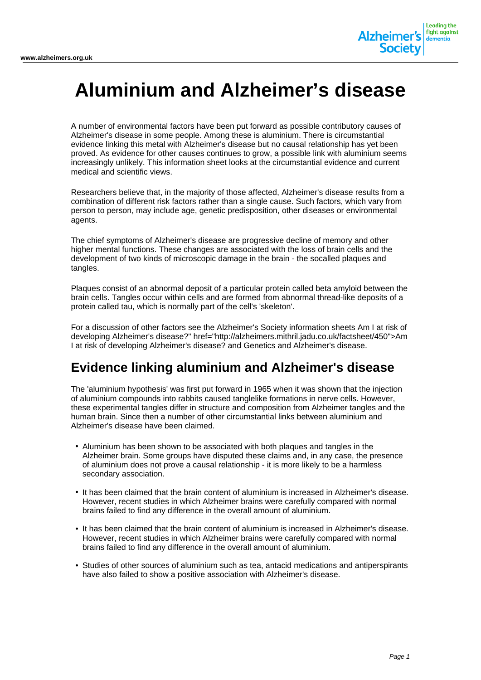

# **Aluminium and Alzheimer's disease**

A number of environmental factors have been put forward as possible contributory causes of Alzheimer's disease in some people. Among these is aluminium. There is circumstantial evidence linking this metal with Alzheimer's disease but no causal relationship has yet been proved. As evidence for other causes continues to grow, a possible link with aluminium seems increasingly unlikely. This information sheet looks at the circumstantial evidence and current medical and scientific views.

Researchers believe that, in the majority of those affected, Alzheimer's disease results from a combination of different risk factors rather than a single cause. Such factors, which vary from person to person, may include age, genetic predisposition, other diseases or environmental agents.

The chief symptoms of Alzheimer's disease are progressive decline of memory and other higher mental functions. These changes are associated with the loss of brain cells and the development of two kinds of microscopic damage in the brain - the socalled plaques and tangles.

Plaques consist of an abnormal deposit of a particular protein called beta amyloid between the brain cells. Tangles occur within cells and are formed from abnormal thread-like deposits of a protein called tau, which is normally part of the cell's 'skeleton'.

For a discussion of other factors see the Alzheimer's Society information sheets Am I at risk of developing Alzheimer's disease?" href="http://alzheimers.mithril.jadu.co.uk/factsheet/450">Am I at risk of developing Alzheimer's disease? and Genetics and Alzheimer's disease.

## **Evidence linking aluminium and Alzheimer's disease**

The 'aluminium hypothesis' was first put forward in 1965 when it was shown that the injection of aluminium compounds into rabbits caused tanglelike formations in nerve cells. However, these experimental tangles differ in structure and composition from Alzheimer tangles and the human brain. Since then a number of other circumstantial links between aluminium and Alzheimer's disease have been claimed.

- Aluminium has been shown to be associated with both plaques and tangles in the Alzheimer brain. Some groups have disputed these claims and, in any case, the presence of aluminium does not prove a causal relationship - it is more likely to be a harmless secondary association.
- It has been claimed that the brain content of aluminium is increased in Alzheimer's disease. However, recent studies in which Alzheimer brains were carefully compared with normal brains failed to find any difference in the overall amount of aluminium.
- It has been claimed that the brain content of aluminium is increased in Alzheimer's disease. However, recent studies in which Alzheimer brains were carefully compared with normal brains failed to find any difference in the overall amount of aluminium.
- Studies of other sources of aluminium such as tea, antacid medications and antiperspirants have also failed to show a positive association with Alzheimer's disease.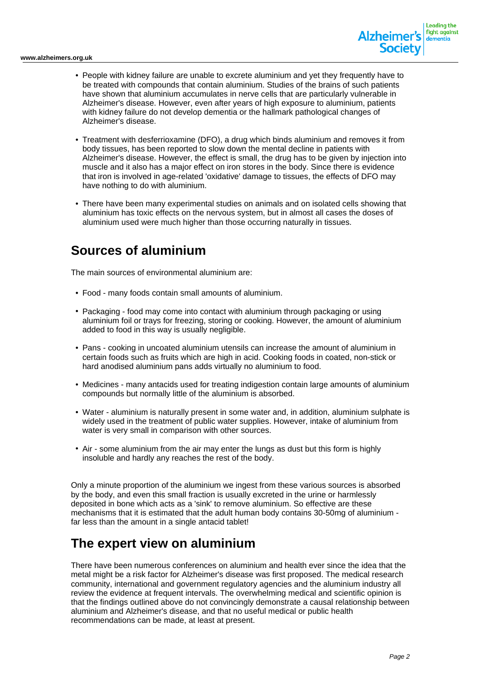

- People with kidney failure are unable to excrete aluminium and yet they frequently have to be treated with compounds that contain aluminium. Studies of the brains of such patients have shown that aluminium accumulates in nerve cells that are particularly vulnerable in Alzheimer's disease. However, even after years of high exposure to aluminium, patients with kidney failure do not develop dementia or the hallmark pathological changes of Alzheimer's disease.
- Treatment with desferrioxamine (DFO), a drug which binds aluminium and removes it from body tissues, has been reported to slow down the mental decline in patients with Alzheimer's disease. However, the effect is small, the drug has to be given by injection into muscle and it also has a major effect on iron stores in the body. Since there is evidence that iron is involved in age-related 'oxidative' damage to tissues, the effects of DFO may have nothing to do with aluminium.
- There have been many experimental studies on animals and on isolated cells showing that aluminium has toxic effects on the nervous system, but in almost all cases the doses of aluminium used were much higher than those occurring naturally in tissues.

## **Sources of aluminium**

The main sources of environmental aluminium are:

- Food many foods contain small amounts of aluminium.
- Packaging food may come into contact with aluminium through packaging or using aluminium foil or trays for freezing, storing or cooking. However, the amount of aluminium added to food in this way is usually negligible.
- Pans cooking in uncoated aluminium utensils can increase the amount of aluminium in certain foods such as fruits which are high in acid. Cooking foods in coated, non-stick or hard anodised aluminium pans adds virtually no aluminium to food.
- Medicines many antacids used for treating indigestion contain large amounts of aluminium compounds but normally little of the aluminium is absorbed.
- Water aluminium is naturally present in some water and, in addition, aluminium sulphate is widely used in the treatment of public water supplies. However, intake of aluminium from water is very small in comparison with other sources.
- Air some aluminium from the air may enter the lungs as dust but this form is highly insoluble and hardly any reaches the rest of the body.

Only a minute proportion of the aluminium we ingest from these various sources is absorbed by the body, and even this small fraction is usually excreted in the urine or harmlessly deposited in bone which acts as a 'sink' to remove aluminium. So effective are these mechanisms that it is estimated that the adult human body contains 30-50mg of aluminium far less than the amount in a single antacid tablet!

#### **The expert view on aluminium**

There have been numerous conferences on aluminium and health ever since the idea that the metal might be a risk factor for Alzheimer's disease was first proposed. The medical research community, international and government regulatory agencies and the aluminium industry all review the evidence at frequent intervals. The overwhelming medical and scientific opinion is that the findings outlined above do not convincingly demonstrate a causal relationship between aluminium and Alzheimer's disease, and that no useful medical or public health recommendations can be made, at least at present.